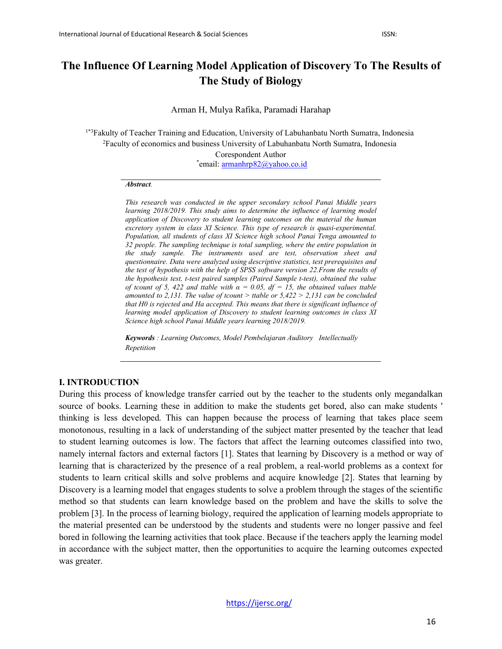# **The Influence Of Learning Model Application of Discovery To The Results of The Study of Biology**

Arman H, Mulya Rafika, Paramadi Harahap

1\*3Fakulty of Teacher Training and Education, University of Labuhanbatu North Sumatra, Indonesia 2 Faculty of economics and business University of Labuhanbatu North Sumatra, Indonesia Corespondent Author \* email: [armanhrp82@yahoo.co.id](mailto:armanhrp82@yahoo.co.id)

#### *Abstract.*

*This research was conducted in the upper secondary school Panai Middle years learning 2018/2019. This study aims to determine the influence of learning model application of Discovery to student learning outcomes on the material the human excretory system in class XI Science. This type of research is quasi-experimental. Population, all students of class XI Science high school Panai Tenga amounted to 32 people. The sampling technique is total sampling, where the entire population in the study sample. The instruments used are test, observation sheet and questionnaire. Data were analyzed using descriptive statistics, test prerequisites and the test of hypothesis with the help of SPSS software version 22.From the results of the hypothesis test, t-test paired samples (Paired Sample t-test), obtained the value of tcount of 5, 422 and ttable with*  $\alpha = 0.05$ *, df = 15, the obtained values ttable amounted to 2,131. The value of tcount > ttable or 5,422 > 2,131 can be concluded that H0 is rejected and Ha accepted. This means that there is significant influence of learning model application of Discovery to student learning outcomes in class XI Science high school Panai Middle years learning 2018/2019.*

*Keywords : Learning Outcomes, Model Pembelajaran Auditory Intellectually Repetition*

#### **I. INTRODUCTION**

During this process of knowledge transfer carried out by the teacher to the students only megandalkan source of books. Learning these in addition to make the students get bored, also can make students ' thinking is less developed. This can happen because the process of learning that takes place seem monotonous, resulting in a lack of understanding of the subject matter presented by the teacher that lead to student learning outcomes is low. The factors that affect the learning outcomes classified into two, namely internal factors and external factors [1]. States that learning by Discovery is a method or way of learning that is characterized by the presence of a real problem, a real-world problems as a context for students to learn critical skills and solve problems and acquire knowledge [2]. States that learning by Discovery is a learning model that engages students to solve a problem through the stages of the scientific method so that students can learn knowledge based on the problem and have the skills to solve the problem [3]. In the process of learning biology, required the application of learning models appropriate to the material presented can be understood by the students and students were no longer passive and feel bored in following the learning activities that took place. Because if the teachers apply the learning model in accordance with the subject matter, then the opportunities to acquire the learning outcomes expected was greater.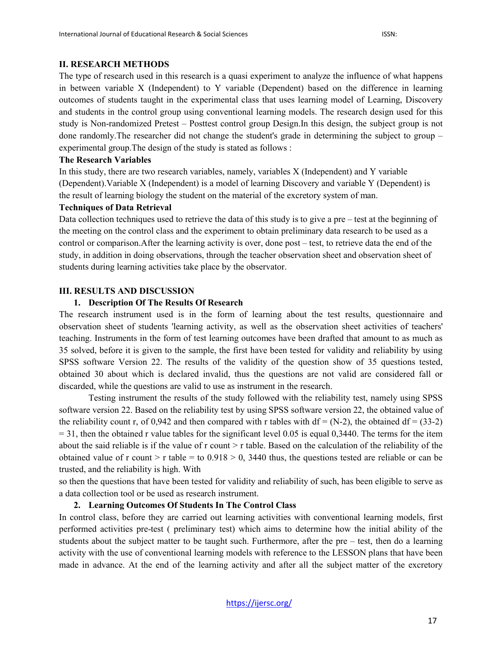#### **II. RESEARCH METHODS**

The type of research used in this research is a quasi experiment to analyze the influence of what happens in between variable X (Independent) to Y variable (Dependent) based on the difference in learning outcomes of students taught in the experimental class that uses learning model of Learning, Discovery and students in the control group using conventional learning models. The research design used for this study is Non-randomized Pretest – Posttest control group Design.In this design, the subject group is not done randomly.The researcher did not change the student's grade in determining the subject to group – experimental group.The design of the study is stated as follows :

#### **The Research Variables**

In this study, there are two research variables, namely, variables X (Independent) and Y variable (Dependent).Variable X (Independent) is a model of learning Discovery and variable Y (Dependent) is the result of learning biology the student on the material of the excretory system of man.

#### **Techniques of Data Retrieval**

Data collection techniques used to retrieve the data of this study is to give a pre – test at the beginning of the meeting on the control class and the experiment to obtain preliminary data research to be used as a control or comparison.After the learning activity is over, done post – test, to retrieve data the end of the study, in addition in doing observations, through the teacher observation sheet and observation sheet of students during learning activities take place by the observator.

### **III. RESULTS AND DISCUSSION**

### **1. Description Of The Results Of Research**

The research instrument used is in the form of learning about the test results, questionnaire and observation sheet of students 'learning activity, as well as the observation sheet activities of teachers' teaching. Instruments in the form of test learning outcomes have been drafted that amount to as much as 35 solved, before it is given to the sample, the first have been tested for validity and reliability by using SPSS software Version 22. The results of the validity of the question show of 35 questions tested, obtained 30 about which is declared invalid, thus the questions are not valid are considered fall or discarded, while the questions are valid to use as instrument in the research.

Testing instrument the results of the study followed with the reliability test, namely using SPSS software version 22. Based on the reliability test by using SPSS software version 22, the obtained value of the reliability count r, of 0,942 and then compared with r tables with  $df = (N-2)$ , the obtained  $df = (33-2)$  $= 31$ , then the obtained r value tables for the significant level 0.05 is equal 0,3440. The terms for the item about the said reliable is if the value of  $r$  count  $\geq r$  table. Based on the calculation of the reliability of the obtained value of r count > r table = to  $0.918 > 0$ , 3440 thus, the questions tested are reliable or can be trusted, and the reliability is high. With

so then the questions that have been tested for validity and reliability of such, has been eligible to serve as a data collection tool or be used as research instrument.

### **2. Learning Outcomes Of Students In The Control Class**

In control class, before they are carried out learning activities with conventional learning models, first performed activities pre-test ( preliminary test) which aims to determine how the initial ability of the students about the subject matter to be taught such. Furthermore, after the pre – test, then do a learning activity with the use of conventional learning models with reference to the LESSON plans that have been made in advance. At the end of the learning activity and after all the subject matter of the excretory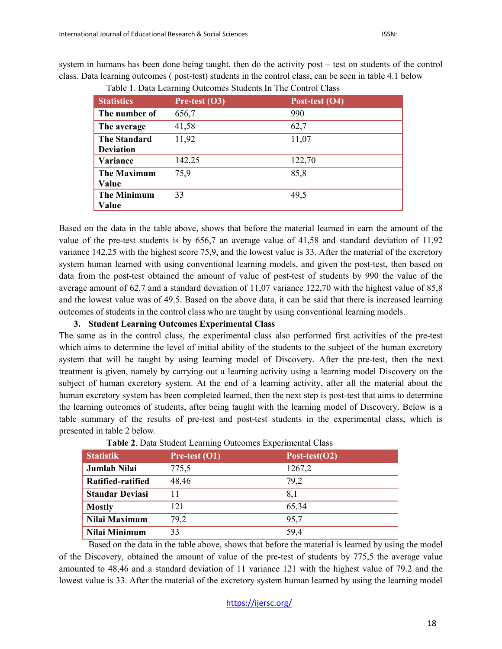system in humans has been done being taught, then do the activity post – test on students of the control class. Data learning outcomes ( post-test) students in the control class, can be seen in table 4.1 below

| <b>Statistics</b>   | Pre-test $(O3)$ | Post-test (O4) |
|---------------------|-----------------|----------------|
| The number of       | 656,7           | 990            |
| The average         | 41,58           | 62,7           |
| <b>The Standard</b> | 11,92           | 11,07          |
| <b>Deviation</b>    |                 |                |
| Variance            | 142,25          | 122,70         |
| <b>The Maximum</b>  | 75,9            | 85,8           |
| Value               |                 |                |
| <b>The Minimum</b>  | 33              | 49,5           |
| Value               |                 |                |

Table 1. Data Learning Outcomes Students In The Control Class

Based on the data in the table above, shows that before the material learned in earn the amount of the value of the pre-test students is by 656,7 an average value of 41,58 and standard deviation of 11,92 variance 142,25 with the highest score 75,9, and the lowest value is 33. After the material of the excretory system human learned with using conventional learning models, and given the post-test, then based on data from the post-test obtained the amount of value of post-test of students by 990 the value of the average amount of 62.7 and a standard deviation of 11,07 variance 122,70 with the highest value of 85,8 and the lowest value was of 49.5. Based on the above data, it can be said that there is increased learning outcomes of students in the control class who are taught by using conventional learning models.

### **3. Student Learning Outcomes Experimental Class**

The same as in the control class, the experimental class also performed first activities of the pre-test which aims to determine the level of initial ability of the students to the subject of the human excretory system that will be taught by using learning model of Discovery. After the pre-test, then the next treatment is given, namely by carrying out a learning activity using a learning model Discovery on the subject of human excretory system. At the end of a learning activity, after all the material about the human excretory system has been completed learned, then the next step is post-test that aims to determine the learning outcomes of students, after being taught with the learning model of Discovery. Below is a table summary of the results of pre-test and post-test students in the experimental class, which is presented in table 2 below.

| <b>Tuble 4:</b> Data Stadent Learning Outcomes Experimental Class |                 |                   |  |  |  |
|-------------------------------------------------------------------|-----------------|-------------------|--|--|--|
| <b>Statistik</b>                                                  | Pre-test $(01)$ | Post-test( $O2$ ) |  |  |  |
| Jumlah Nilai                                                      | 775,5           | 1267,2            |  |  |  |
| Ratified-ratified                                                 | 48,46           | 79,2              |  |  |  |
| <b>Standar Deviasi</b>                                            |                 | 8.1               |  |  |  |
| <b>Mostly</b>                                                     | 121             | 65,34             |  |  |  |
| Nilai Maximum                                                     | 79,2            | 95,7              |  |  |  |
| Nilai Minimum                                                     | 33              | 59,4              |  |  |  |

**Table 2**. Data Student Learning Outcomes Experimental Class

Based on the data in the table above, shows that before the material is learned by using the model of the Discovery, obtained the amount of value of the pre-test of students by 775,5 the average value amounted to 48,46 and a standard deviation of 11 variance 121 with the highest value of 79.2 and the lowest value is 33. After the material of the excretory system human learned by using the learning model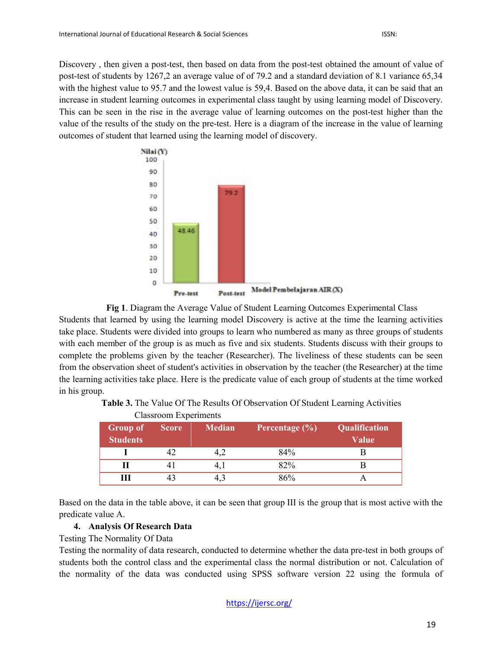Discovery , then given a post-test, then based on data from the post-test obtained the amount of value of post-test of students by 1267,2 an average value of of 79.2 and a standard deviation of 8.1 variance 65,34 with the highest value to 95.7 and the lowest value is 59,4. Based on the above data, it can be said that an increase in student learning outcomes in experimental class taught by using learning model of Discovery. This can be seen in the rise in the average value of learning outcomes on the post-test higher than the value of the results of the study on the pre-test. Here is a diagram of the increase in the value of learning outcomes of student that learned using the learning model of discovery.



**Fig 1**. Diagram the Average Value of Student Learning Outcomes Experimental Class Students that learned by using the learning model Discovery is active at the time the learning activities take place. Students were divided into groups to learn who numbered as many as three groups of students with each member of the group is as much as five and six students. Students discuss with their groups to complete the problems given by the teacher (Researcher). The liveliness of these students can be seen from the observation sheet of student's activities in observation by the teacher (the Researcher) at the time the learning activities take place. Here is the predicate value of each group of students at the time worked in his group.

|                             | Classroom experiments |               |                    |                               |  |
|-----------------------------|-----------------------|---------------|--------------------|-------------------------------|--|
| Group of<br><b>Students</b> | Score                 | <b>Median</b> | Percentage $(\% )$ | Qualification<br><b>Value</b> |  |
|                             |                       |               | 84%                |                               |  |
|                             |                       |               | 82%                |                               |  |
| Ш                           |                       |               | 86%                |                               |  |

**Table 3.** The Value Of The Results Of Observation Of Student Learning Activities

Based on the data in the table above, it can be seen that group III is the group that is most active with the predicate value A.

## **4. Analysis Of Research Data**

 $C1$ assassoom Experiments

### Testing The Normality Of Data

Testing the normality of data research, conducted to determine whether the data pre-test in both groups of students both the control class and the experimental class the normal distribution or not. Calculation of the normality of the data was conducted using SPSS software version 22 using the formula of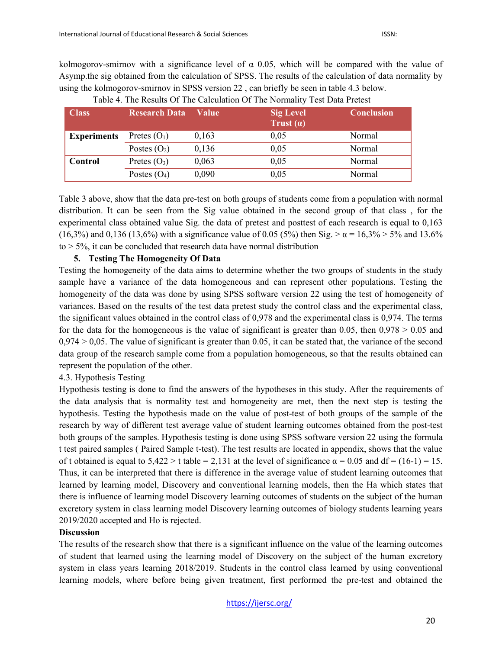kolmogorov-smirnov with a significance level of  $\alpha$  0.05, which will be compared with the value of Asymp.the sig obtained from the calculation of SPSS. The results of the calculation of data normality by using the kolmogorov-smirnov in SPSS version 22 , can briefly be seen in table 4.3 below.

| Class              | <b>Research Data</b> | Value | <b>Sig Level</b><br>Trust $(a)$ | <b>Conclusion</b> |
|--------------------|----------------------|-------|---------------------------------|-------------------|
| <b>Experiments</b> | Pretes $(O_1)$       | 0,163 | 0,05                            | Normal            |
|                    | Postes $(O_2)$       | 0,136 | 0,05                            | Normal            |
| Control            | Pretes $(O_3)$       | 0,063 | 0.05                            | Normal            |
|                    | Postes $(O_4)$       | 0,090 | 0,05                            | Normal            |

Table 3 above, show that the data pre-test on both groups of students come from a population with normal distribution. It can be seen from the Sig value obtained in the second group of that class , for the experimental class obtained value Sig. the data of pretest and posttest of each research is equal to 0,163 (16,3%) and 0,136 (13,6%) with a significance value of 0.05 (5%) then Sig.  $>\alpha = 16,3\% > 5\%$  and 13.6%  $to$   $>$  5%, it can be concluded that research data have normal distribution

### **5. Testing The Homogeneity Of Data**

Testing the homogeneity of the data aims to determine whether the two groups of students in the study sample have a variance of the data homogeneous and can represent other populations. Testing the homogeneity of the data was done by using SPSS software version 22 using the test of homogeneity of variances. Based on the results of the test data pretest study the control class and the experimental class, the significant values obtained in the control class of 0,978 and the experimental class is 0,974. The terms for the data for the homogeneous is the value of significant is greater than 0.05, then  $0.978 > 0.05$  and  $0.974 > 0.05$ . The value of significant is greater than 0.05, it can be stated that, the variance of the second data group of the research sample come from a population homogeneous, so that the results obtained can represent the population of the other.

### 4.3. Hypothesis Testing

Hypothesis testing is done to find the answers of the hypotheses in this study. After the requirements of the data analysis that is normality test and homogeneity are met, then the next step is testing the hypothesis. Testing the hypothesis made on the value of post-test of both groups of the sample of the research by way of different test average value of student learning outcomes obtained from the post-test both groups of the samples. Hypothesis testing is done using SPSS software version 22 using the formula t test paired samples ( Paired Sample t-test). The test results are located in appendix, shows that the value of t obtained is equal to  $5,422 > t$  table = 2,131 at the level of significance  $\alpha = 0.05$  and df = (16-1) = 15. Thus, it can be interpreted that there is difference in the average value of student learning outcomes that learned by learning model, Discovery and conventional learning models, then the Ha which states that there is influence of learning model Discovery learning outcomes of students on the subject of the human excretory system in class learning model Discovery learning outcomes of biology students learning years 2019/2020 accepted and Ho is rejected.

### **Discussion**

The results of the research show that there is a significant influence on the value of the learning outcomes of student that learned using the learning model of Discovery on the subject of the human excretory system in class years learning 2018/2019. Students in the control class learned by using conventional learning models, where before being given treatment, first performed the pre-test and obtained the

<https://ijersc.org/>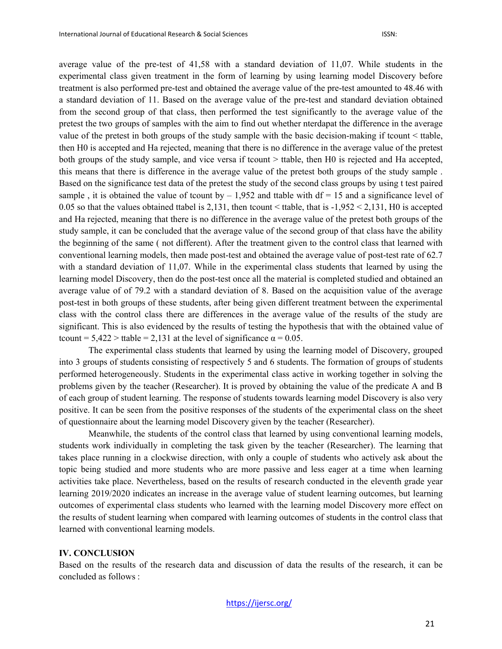average value of the pre-test of 41,58 with a standard deviation of 11,07. While students in the experimental class given treatment in the form of learning by using learning model Discovery before treatment is also performed pre-test and obtained the average value of the pre-test amounted to 48.46 with a standard deviation of 11. Based on the average value of the pre-test and standard deviation obtained from the second group of that class, then performed the test significantly to the average value of the pretest the two groups of samples with the aim to find out whether nterdapat the difference in the average value of the pretest in both groups of the study sample with the basic decision-making if tcount < ttable, then H0 is accepted and Ha rejected, meaning that there is no difference in the average value of the pretest both groups of the study sample, and vice versa if tcount > ttable, then H0 is rejected and Ha accepted, this means that there is difference in the average value of the pretest both groups of the study sample . Based on the significance test data of the pretest the study of the second class groups by using t test paired sample, it is obtained the value of tcount by  $-1,952$  and ttable with df = 15 and a significance level of 0.05 so that the values obtained ttabel is 2,131, then tcount < ttable, that is -1,952 < 2,131, H0 is accepted and Ha rejected, meaning that there is no difference in the average value of the pretest both groups of the study sample, it can be concluded that the average value of the second group of that class have the ability the beginning of the same ( not different). After the treatment given to the control class that learned with conventional learning models, then made post-test and obtained the average value of post-test rate of 62.7 with a standard deviation of 11,07. While in the experimental class students that learned by using the learning model Discovery, then do the post-test once all the material is completed studied and obtained an average value of of 79.2 with a standard deviation of 8. Based on the acquisition value of the average post-test in both groups of these students, after being given different treatment between the experimental class with the control class there are differences in the average value of the results of the study are significant. This is also evidenced by the results of testing the hypothesis that with the obtained value of tcount =  $5,422 >$  ttable = 2,131 at the level of significance  $\alpha = 0.05$ .

The experimental class students that learned by using the learning model of Discovery, grouped into 3 groups of students consisting of respectively 5 and 6 students. The formation of groups of students performed heterogeneously. Students in the experimental class active in working together in solving the problems given by the teacher (Researcher). It is proved by obtaining the value of the predicate A and B of each group of student learning. The response of students towards learning model Discovery is also very positive. It can be seen from the positive responses of the students of the experimental class on the sheet of questionnaire about the learning model Discovery given by the teacher (Researcher).

Meanwhile, the students of the control class that learned by using conventional learning models, students work individually in completing the task given by the teacher (Researcher). The learning that takes place running in a clockwise direction, with only a couple of students who actively ask about the topic being studied and more students who are more passive and less eager at a time when learning activities take place. Nevertheless, based on the results of research conducted in the eleventh grade year learning 2019/2020 indicates an increase in the average value of student learning outcomes, but learning outcomes of experimental class students who learned with the learning model Discovery more effect on the results of student learning when compared with learning outcomes of students in the control class that learned with conventional learning models.

#### **IV. CONCLUSION**

Based on the results of the research data and discussion of data the results of the research, it can be concluded as follows :

#### <https://ijersc.org/>